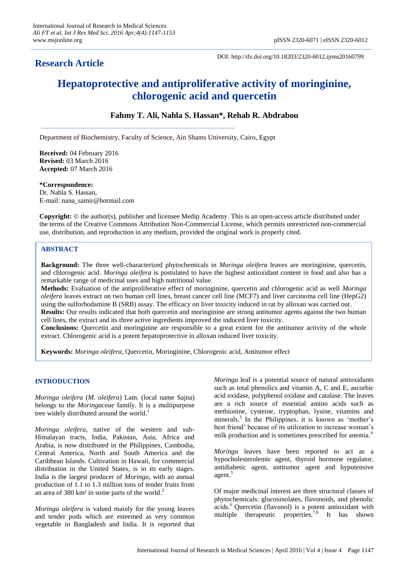## **Research Article**

DOI: http://dx.doi.org/10.18203/2320-6012.ijrms20160799

# **Hepatoprotective and antiproliferative activity of moringinine, chlorogenic acid and quercetin**

## **Fahmy T. Ali, Nahla S. Hassan\*, Rehab R. Abdrabou**

Department of Biochemistry, Faculty of Science, Ain Shams University, Cairo, Egypt

**Received:** 04 February 2016 **Revised:** 03 March 2016 **Accepted:** 07 March 2016

**\*Correspondence:**

Dr. Nahla S. Hassan, E-mail: nana\_samir@hotmail.com

**Copyright:** © the author(s), publisher and licensee Medip Academy. This is an open-access article distributed under the terms of the Creative Commons Attribution Non-Commercial License, which permits unrestricted non-commercial use, distribution, and reproduction in any medium, provided the original work is properly cited.

## **ABSTRACT**

**Background:** The three well-characterized phytochemicals in *Moringa oleifera* leaves are moringinine, quercetin, and chlorogenic acid. *Moringa oleifera* is postulated to have the highest antioxidant content in food and also has a remarkable range of medicinal uses and high nutritional value.

**Methods:** Evaluation of the antiproliferative effect of moringinine, quercetin and chlorogenic acid as well *Moringa oleifera* leaves extract on two human cell lines, breast cancer cell line (MCF7) and liver carcinoma cell line (HepG2) using the sulforhodamine B (SRB) assay. The efficacy on liver toxicity induced in rat by alloxan was carried out. **Results:** Our results indicated that both quercetin and moringinine are strong antitumor agents against the two human cell lines, the extract and its three active ingredients improved the induced liver toxicity.

**Conclusions:** Quercetin and moringinine are responsible to a great extent for the antitumor activity of the whole extract. Chlorogenic acid is a potent hepatoprotective in alloxan induced liver toxicity.

**Keywords:** *Moringa oleifera*, Quercetin, Moringinine, Chlorogenic acid, Antitumor effect

## **INTRODUCTION**

*Moringa oleifera* (*M. oleifera*) Lam. (local name Sajna) belongs to the *Moringaceae* family. It is a multipurpose tree widely distributed around the world.<sup>1</sup>

*Moringa oleifera*, native of the western and sub-Himalayan tracts, India, Pakistan, Asia, Africa and Arabia, is now distributed in the Philippines, Cambodia, Central America, North and South America and the Caribbean Islands. Cultivation in Hawaii, for commercial distribution in the United States, is in its early stages. India is the largest producer of *Moringa*, with an annual production of 1.1 to 1.3 million tons of tender fruits from an area of 380 km<sup>2</sup> in some parts of the world.<sup>2</sup>

*Moringa oleifera* is valued mainly for the young leaves and tender pods which are esteemed as very common vegetable in Bangladesh and India. It is reported that *Moringa* leaf is a potential source of natural antioxidants such as total phenolics and vitamin A, C and E, ascorbic acid oxidase, polyphenol oxidase and catalase. The leaves are a rich source of essential amino acids such as methionine, cysteine, tryptophan, lysine, vitamins and minerals.<sup>3</sup> In the Philippines, it is known as 'mother's best friend' because of its utilization to increase woman's milk production and is sometimes prescribed for anemia.<sup>4</sup>

*Moringa* leaves have been reported to act as a hypocholesterolemic agent, thyroid hormone regulator, antidiabetic agent, antitumor agent and hypotensive agent. 5

Of major medicinal interest are three structural classes of phytochemicals: glucosinolates, flavonoids, and phenolic acids. <sup>6</sup> Quercetin (flavonol) is a potent antioxidant with multiple therapeutic properties.<sup>7,8</sup> It has shown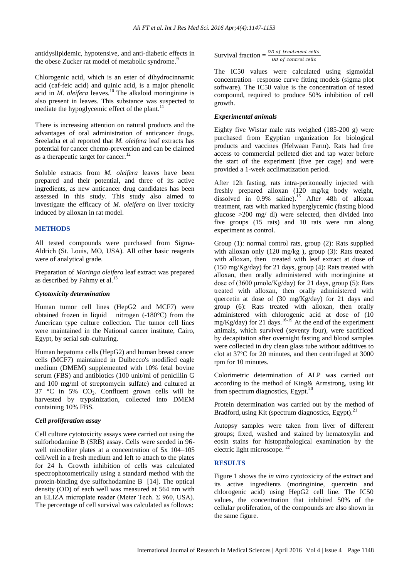antidyslipidemic, hypotensive, and anti-diabetic effects in the obese Zucker rat model of metabolic syndrome.<sup>9</sup>

Chlorogenic acid, which is an ester of dihydrocinnamic acid (caf-feic acid) and quinic acid, is a major phenolic acid in *M. oleifera* leaves.<sup>10</sup> The alkaloid moringinine is also present in leaves. This substance was suspected to mediate the hypoglycemic effect of the plant.<sup>11</sup>

There is increasing attention on natural products and the advantages of oral administration of anticancer drugs. Sreelatha et al reported that *M. oleifera* leaf extracts has potential for cancer chemo-prevention and can be claimed as a therapeutic target for cancer.<sup>12</sup>

Soluble extracts from *M. oleifera* leaves have been prepared and their potential, and three of its active ingredients, as new anticancer drug candidates has been assessed in this study. This study also aimed to investigate the efficacy of *M. oleifera* on liver toxicity induced by alloxan in rat model.

#### **METHODS**

All tested compounds were purchased from Sigma-Aldrich (St. Louis, MO, USA). All other basic reagents were of analytical grade.

Preparation of *Moringa oleifera* leaf extract was prepared as described by Fahmy et al.<sup>13</sup>

#### *Cytotoxicity determination*

Human tumor cell lines (HepG2 and MCF7) were obtained frozen in liquid nitrogen (-180°C) from the American type culture collection. The tumor cell lines were maintained in the National cancer institute, Cairo, Egypt, by serial sub-culturing.

Human hepatoma cells (HepG2) and human breast cancer cells (MCF7) maintained in Dulbecco's modified eagle medium (DMEM) supplemented with 10% fetal bovine serum (FBS) and antibiotics (100 unit/ml of penicillin G and 100 mg/ml of streptomycin sulfate) and cultured at 37 °C in 5%  $CO<sub>2</sub>$ . Confluent grown cells will be harvested by trypsinization, collected into DMEM containing 10% FBS.

#### *Cell proliferation assay*

Cell culture cytotoxicity assays were carried out using the sulforhodamine B (SRB) assay. Cells were seeded in 96 well microliter plates at a concentration of 5x 104–105 cell/well in a fresh medium and left to attach to the plates for 24 h. Growth inhibition of cells was calculated spectrophotometrically using a standard method with the protein-binding dye sulforhodamine B [14]. The optical density (OD) of each well was measured at 564 nm with an ELIZA microplate reader (Meter Tech.  $\Sigma$  960, USA). The percentage of cell survival was calculated as follows:

Survival fraction =  $\frac{\partial B}{\partial \theta}$ 

The IC50 values were calculated using sigmoidal concentration– response curve fitting models (sigma plot software). The IC50 value is the concentration of tested compound, required to produce 50% inhibition of cell growth.

#### *Experimental animals*

Eighty five Wistar male rats weighed (185-200 g) were purchased from Egyptian rrganization for biological products and vaccines (Helwaan Farm). Rats had free access to commercial pelleted diet and tap water before the start of the experiment (five per cage) and were provided a 1-week acclimatization period.

After 12h fasting, rats intra-peritoneally injected with freshly prepared alloxan (120 mg/kg body weight, dissolved in 0.9% saline). <sup>15</sup> After 48h of alloxan treatment, rats with marked hyperglycemic (fasting blood glucose >200 mg/ dl) were selected, then divided into five groups (15 rats) and 10 rats were run along experiment as control.

Group (1): normal control rats, group (2): Rats supplied with alloxan only (120 mg/kg ), group (3): Rats treated with alloxan, then treated with leaf extract at dose of  $(150 \text{ mg/Kg/day})$  for 21 days, group (4): Rats treated with alloxan, then orally administered with moringinine at dose of (3600 μmole/Kg/day) for 21 days, group (5): Rats treated with alloxan, then orally administered with quercetin at dose of (30 mg/Kg/day) for 21 days and group (6): Rats treated with alloxan, then orally administered with chlorogenic acid at dose of (10  $mg/Kg/day)$  for 21 days.<sup>16-19</sup> At the end of the experiment animals, which survived (seventy four), were sacrificed by decapitation after overnight fasting and blood samples were collected in dry clean glass tube without additives to clot at 37ºC for 20 minutes, and then centrifuged at 3000 rpm for 10 minutes.

Colorimetric determination of ALP was carried out according to the method of King& Armstrong, using kit from spectrum diagnostics, Egypt.<sup>20</sup>

Protein determination was carried out by the method of Bradford, using Kit (spectrum diagnostics, Egypt). $^{21}$ 

Autopsy samples were taken from liver of different groups; fixed, washed and stained by hematoxylin and eosin stains for histopathological examination by the electric light microscope. 22

#### **RESULTS**

Figure 1 shows the *in vitro* cytotoxicity of the extract and its active ingredients (moringinine, quercetin and chlorogenic acid) using HepG2 cell line. The IC50 values, the concentration that inhibited 50% of the cellular proliferation, of the compounds are also shown in the same figure.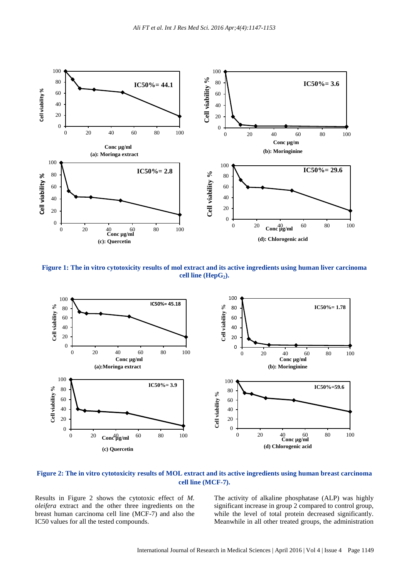

**Figure 1: The in vitro cytotoxicity results of mol extract and its active ingredients using human liver carcinoma cell line (HepG2).**



**Figure 2: The in vitro cytotoxicity results of MOL extract and its active ingredients using human breast carcinoma cell line (MCF-7).**

Results in Figure 2 shows the cytotoxic effect of *M. oleifera* extract and the other three ingredients on the breast human carcinoma cell line (MCF-7) and also the IC50 values for all the tested compounds.

The activity of alkaline phosphatase (ALP) was highly significant increase in group 2 compared to control group, while the level of total protein decreased significantly. Meanwhile in all other treated groups, the administration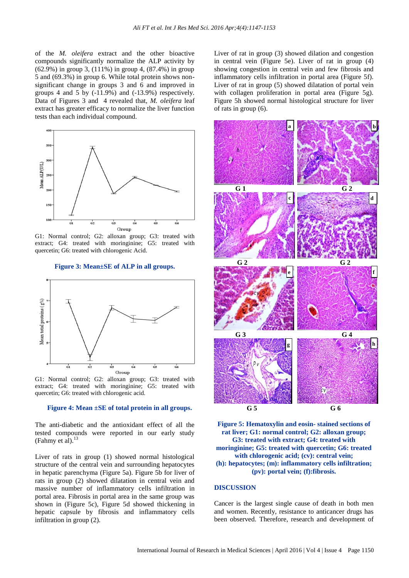of the *M. oleifera* extract and the other bioactive compounds significantly normalize the ALP activity by (62.9%) in group 3, (111%) in group 4, (87.4%) in group 5 and (69.3%) in group 6. While total protein shows nonsignificant change in groups 3 and 6 and improved in groups 4 and 5 by  $(-11.9\%)$  and  $(-13.9\%)$  respectively. Data of Figures 3 and 4 revealed that, *M. oleifera* leaf extract has greater efficacy to normalize the liver function tests than each individual compound.



G1: Normal control; G2: alloxan group; G3: treated with extract; G4: treated with moringinine; G5: treated with quercetin; G6: treated with chlorogenic Acid.

**Figure 3: Mean±SE of ALP in all groups.**



G1: Normal control; G2: alloxan group; G3: treated with extract; G4: treated with moringinine; G5: treated with quercetin; G6: treated with chlorogenic acid.

#### **Figure 4: Mean ±SE of total protein in all groups.**

The anti-diabetic and the antioxidant effect of all the tested compounds were reported in our early study (Fahmy et al). 13

Liver of rats in group (1) showed normal histological structure of the central vein and surrounding hepatocytes in hepatic parenchyma (Figure 5a). Figure 5b for liver of rats in group (2) showed dilatation in central vein and massive number of inflammatory cells infiltration in portal area. Fibrosis in portal area in the same group was shown in (Figure 5c), Figure 5d showed thickening in hepatic capsule by fibrosis and inflammatory cells infiltration in group (2).

Liver of rat in group (3) showed dilation and congestion in central vein (Figure 5e). Liver of rat in group (4) showing congestion in central vein and few fibrosis and inflammatory cells infiltration in portal area (Figure 5f). Liver of rat in group (5) showed dilatation of portal vein with collagen proliferation in portal area (Figure 5g). Figure 5h showed normal histological structure for liver of rats in group (6).



**Figure 5: Hematoxylin and eosin- stained sections of rat liver; G1: normal control; G2: alloxan group; G3: treated with extract; G4: treated with moringinine; G5: treated with quercetin; G6: treated with chlorogenic acid; (cv): central vein; (h): hepatocytes; (m): inflammatory cells infiltration; (pv): portal vein; (f):fibrosis.**

#### **DISCUSSION**

Cancer is the largest single cause of death in both men and women. Recently, resistance to anticancer drugs has been observed. Therefore, research and development of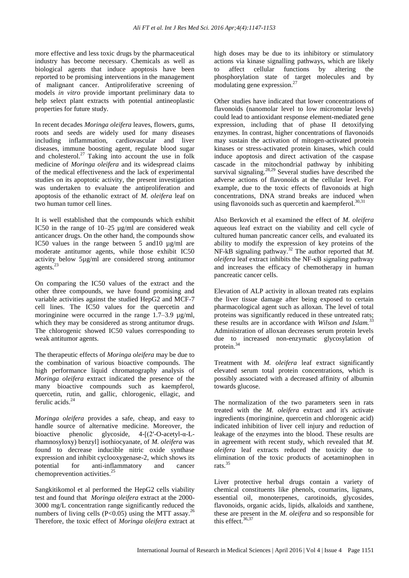more effective and less toxic drugs by the pharmaceutical industry has become necessary. Chemicals as well as biological agents that induce apoptosis have been reported to be promising interventions in the management of malignant cancer. Antiproliferative screening of models *in vitro* provide important preliminary data to help select plant extracts with potential antineoplastic properties for future study.

In recent decades *Moringa oleifera* leaves, flowers, gums, roots and seeds are widely used for many diseases including inflammation, cardiovascular and liver diseases, immune boosting agent, regulate blood sugar and cholesterol. <sup>27</sup> Taking into account the use in folk medicine of *Moringa oleifera* and its widespread claims of the medical effectiveness and the lack of experimental studies on its apoptotic activity, the present investigation was undertaken to evaluate the antiproliferation and apoptosis of the ethanolic extract of *M. oleifera* leaf on two human tumor cell lines.

It is well established that the compounds which exhibit IC50 in the range of  $10-25 \mu g/ml$  are considered weak anticancer drugs. On the other hand, the compounds show IC50 values in the range between 5 and10 µg/ml are moderate antitumor agents, while those exhibit IC50 activity below 5µg/ml are considered strong antitumor agents. 23

On comparing the IC50 values of the extract and the other three compounds, we have found promising and variable activities against the studied HepG2 and MCF-7 cell lines. The IC50 values for the quercetin and moringinine were occurred in the range  $1.7-3.9$   $\mu$ g/ml, which they may be considered as strong antitumor drugs. The chlorogenic showed IC50 values corresponding to weak antitumor agents.

The therapeutic effects of *Moringa oleifera* may be due to the combination of various bioactive compounds. The high performance liquid chromatography analysis of *Moringa oleifera* extract indicated the presence of the many bioactive compounds such as kaempferol, quercetin, rutin, and gallic, chlorogenic, ellagic, and ferulic acids. 24

*Moringa oleifera* provides a safe, cheap, and easy to handle source of alternative medicine. Moreover, the bioactive phenolic glycoside, 4-[(2′-O-acetyl-α-Lrhamnosyloxy) benzyl] isothiocyanate, of *M. oleifera* was found to decrease inducible nitric oxide synthase expression and inhibit cyclooxygenase-2, which shows its potential for anti-inflammatory and cancer chemoprevention activities.<sup>25</sup>

Sangkitikomol et al performed the HepG2 cells viability test and found that *Moringa oleifera* extract at the 2000- 3000 mg/L concentration range significantly reduced the numbers of living cells (P<0.05) using the MTT assay.<sup>26</sup> Therefore, the toxic effect of *Moringa oleifera* extract at high doses may be due to its inhibitory or stimulatory actions via kinase signalling pathways, which are likely to affect cellular functions by altering the phosphorylation state of target molecules and by modulating gene expression. 27

Other studies have indicated that lower concentrations of flavonoids (nanomolar level to low micromolar levels) could lead to antioxidant response element-mediated gene expression, including that of phase II detoxifying enzymes. In contrast, higher concentrations of flavonoids may sustain the activation of mitogen-activated protein kinases or stress-activated protein kinases, which could induce apoptosis and direct activation of the caspase cascade in the mitochondrial pathway by inhibiting survival signaling.<sup>28,29</sup> Several studies have described the adverse actions of flavonoids at the cellular level. For example, due to the toxic effects of flavonoids at high concentrations, DNA strand breaks are induced when using flavonoids such as quercetin and kaempferol.<sup>30,31</sup>

Also Berkovich et al examined the effect of *M. oleifera* aqueous leaf extract on the viability and cell cycle of cultured human pancreatic cancer cells, and evaluated its ability to modify the expression of key proteins of the NF-kB signaling pathway.<sup>32</sup> The author reported that *M*. *oleifera* leaf extract inhibits the NF-κB signaling pathway and increases the efficacy of chemotherapy in human pancreatic cancer cells.

Elevation of ALP activity in alloxan treated rats explains the liver tissue damage after being exposed to certain pharmacological agent such as alloxan. The level of total proteins was significantly reduced in these untreated rats; these results are in accordance with *Wilson and Islam.*<sup>33</sup> Administration of alloxan decreases serum protein levels due to increased non-enzymatic glycosylation of protein. 34

Treatment with *M. oleifera* leaf extract significantly elevated serum total protein concentrations, which is possibly associated with a decreased affinity of albumin towards glucose.

The normalization of the two parameters seen in rats treated with the *M. oleifera* extract and it's activate ingredients (moringinine, quercetin and chlorogenic acid) indicated inhibition of liver cell injury and reduction of leakage of the enzymes into the blood. These results are in agreement with recent study, which revealed that *M. oleifera* leaf extracts reduced the toxicity due to elimination of the toxic products of acetaminophen in rats. 35

Liver protective herbal drugs contain a variety of chemical constituents like phenols, coumarins, lignans, essential oil, monoterpenes, carotinoids, glycosides, flavonoids, organic acids, lipids, alkaloids and xanthene, these are present in the *M. oleifera* and so responsible for this effect. 36,37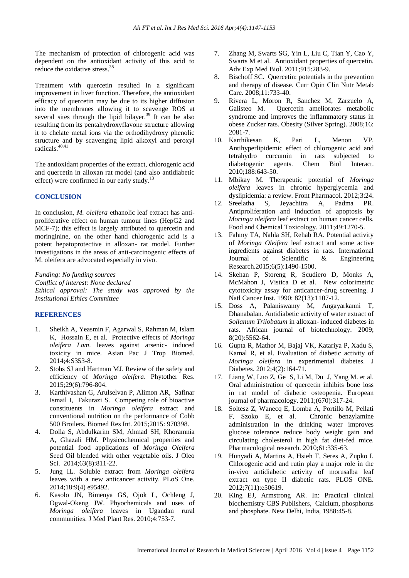The mechanism of protection of chlorogenic acid was dependent on the antioxidant activity of this acid to reduce the oxidative stress. 38

Treatment with quercetin resulted in a significant improvement in liver function. Therefore, the antioxidant efficacy of quercetin may be due to its higher diffusion into the membranes allowing it to scavenge ROS at several sites through the lipid bilayer. $39$  It can be also resulting from its pentahydroxyflavone structure allowing it to chelate metal ions via the orthodihydroxy phenolic structure and by scavenging lipid alkoxyl and peroxyl radicals. 40,41

The antioxidant properties of the extract, chlorogenic acid and quercetin in alloxan rat model (and also antidiabetic effect) were confirmed in our early study.<sup>13</sup>

#### **CONCLUSION**

In conclusion, *M. oleifera* ethanolic leaf extract has antiproliferative effect on human tumour lines (HepG2 and MCF-7); this effect is largely attributed to quercetin and moringinine, on the other hand chlorogenic acid is a potent hepatoprotective in alloxan- rat model. Further investigations in the areas of anti-carcinogenic effects of M. oleifera are advocated especially in vivo.

*Funding: No funding sources*

*Conflict of interest: None declared Ethical approval: The study was approved by the Institutional Ethics Committee*

### **REFERENCES**

- 1. Sheikh A, Yeasmin F, Agarwal S, Rahman M, Islam K, Hossain E, et al. Protective effects of *Moringa oleifera Lam*. leaves against arsenic- induced toxicity in mice. Asian Pac J Trop Biomed. 2014;4:S353-8.
- 2. Stohs SJ and Hartman MJ. Review of the safety and efficiency of *Moringa oleifera*. Phytother Res. 2015;29(6):796-804.
- 3. Karthivashan G, Arulselvan P, Alimon AR, Safinar Ismail I, Fakurazi S. Competing role of bioactive constituents in *Moringa oleifera* extract and conventional nutrition on the performance of Cobb 500 Broilers. Biomed Res Int. 2015;2015: 970398.
- 4. Dolla S, Abdulkarim SM, Ahmad SH, Khoramnia A, Ghazali HM. Physicochemical properties and potential food applications of *Moringa Oleifera* Seed Oil blended with other vegetable oils. J Oleo Sci. 2014;63(8):811-22.
- 5. Jung IL. Soluble extract from *Moringa oleifera* leaves with a new anticancer activity. PLoS One. 2014;18:9(4) e95492.
- 6. Kasolo JN, Bimenya GS, Ojok L, Ochleng J, Ogwal-Okeng JW. Phyochemicals and uses of *Moringa oleifera* leaves in Ugandan rural communities. J Med Plant Res. 2010;4:753-7.
- 7. Zhang M, Swarts SG, Yin L, Liu C, Tian Y, Cao Y, Swarts M et al. Antioxidant properties of quercetin. Adv Exp Med Biol. 2011;915:283-9.
- 8. Bischoff SC. Quercetin: potentials in the prevention and therapy of disease. Curr Opin Clin Nutr Metab Care. 2008;11:733-40.
- 9. Rivera L, Moron R, Sanchez M, Zarzuelo A, Galisteo M. Quercetin ameliorates metabolic syndrome and improves the inflammatory status in obese Zucker rats. Obesity (Silver Spring). 2008;16: 2081-7.
- 10. Karthikesan K, Pari L, Menon VP. Antihyperlipidemic effect of chlorogenic acid and tetrahydro curcumin in rats subjected to diabetogenic agents. Chem Biol Interact. 2010;188:643-50.
- 11. Mbikay M. Therapeutic potential of *Moringa oleifera* leaves in chronic hyperglycemia and dyslipidemia: a review. Front Pharmacol. 2012;3:24.
- 12. Sreelatha S, Jeyachitra A, Padma PR. Antiproliferation and induction of apoptosis by *Moringa oleifera* leaf extract on human cancer cells. Food and Chemical Toxicology. 2011;49:1270-5.
- 13. Fahmy TA, Nahla SH, Rehab RA. Potential activity of *Moringa Oleifera* leaf extract and some active ingredients against diabetes in rats. International Journal of Scientific & Engineering Research.2015;6(5):1490-1500.
- 14. Skehan P, Storeng R, Scudiero D, Monks A, McMahon J, Vistica D et al. New colorimetric cytotoxicity assay for anticancer-drug screening. J Natl Cancer Inst. 1990; 82(13):1107-12.
- 15. Doss A, Palaniswamy M, Angayarkanni T, Dhanabalan. Antidiabetic activity of water extract of *Sollanum Trilobatum* in alloxan- induced diabetes in rats. African journal of biotechnology. 2009; 8(20):5562-64.
- 16. Gupta R, Mathor M, Bajaj VK, Katariya P, Xadu S, Kamal R, et al. Evaluation of diabetic activity of *Moringa oleifera* in experimental diabetes. J Diabetes. 2012;4(2):164-71.
- 17. Liang W, Luo Z, Ge S, Li M, Du J, Yang M. et al. Oral administration of quercetin inhibits bone loss in rat model of diabetic osteopenia. European journal of pharmacology. 2011;(670):317-24.
- 18. Soltesz Z, Wanecq E, Lomba A, Portillo M, Pellati F, Szoko E, et al. Chronic benzylamine administration in the drinking water improves glucose tolerance reduce body weight gain and circulating cholesterol in high fat diet-fed mice. Pharmacological research. 2010;61:335-63.
- 19. Hunyadi A, Martins A, Hsieh T, Seres A, Zupko I. Chlorogenic acid and rutin play a major role in the in-vivo antidiabetic activity of morusalba leaf extract on type II diabetic rats. PLOS ONE. 2012;7(11):e50619.
- 20. King EJ, Armstrong AR. In: Practical clinical biochemistry CBS Publishers, Calcium, phosphorus and phosphate. New Delhi, India, 1988:45-8.